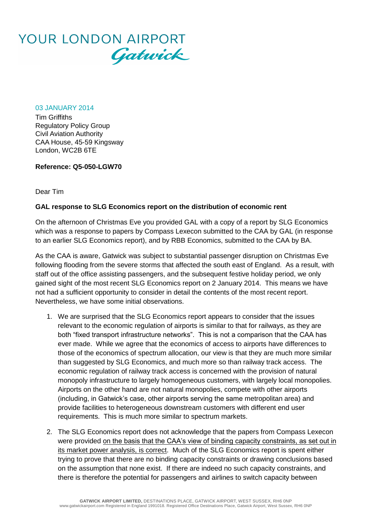

03 JANUARY 2014

Tim Griffiths Regulatory Policy Group Civil Aviation Authority CAA House, 45-59 Kingsway London, WC2B 6TE

**Reference: Q5-050-LGW70**

Dear Tim

## **GAL response to SLG Economics report on the distribution of economic rent**

On the afternoon of Christmas Eve you provided GAL with a copy of a report by SLG Economics which was a response to papers by Compass Lexecon submitted to the CAA by GAL (in response to an earlier SLG Economics report), and by RBB Economics, submitted to the CAA by BA.

As the CAA is aware, Gatwick was subject to substantial passenger disruption on Christmas Eve following flooding from the severe storms that affected the south east of England. As a result, with staff out of the office assisting passengers, and the subsequent festive holiday period, we only gained sight of the most recent SLG Economics report on 2 January 2014. This means we have not had a sufficient opportunity to consider in detail the contents of the most recent report. Nevertheless, we have some initial observations.

- 1. We are surprised that the SLG Economics report appears to consider that the issues relevant to the economic regulation of airports is similar to that for railways, as they are both "fixed transport infrastructure networks". This is not a comparison that the CAA has ever made. While we agree that the economics of access to airports have differences to those of the economics of spectrum allocation, our view is that they are much more similar than suggested by SLG Economics, and much more so than railway track access. The economic regulation of railway track access is concerned with the provision of natural monopoly infrastructure to largely homogeneous customers, with largely local monopolies. Airports on the other hand are not natural monopolies, compete with other airports (including, in Gatwick's case, other airports serving the same metropolitan area) and provide facilities to heterogeneous downstream customers with different end user requirements. This is much more similar to spectrum markets.
- 2. The SLG Economics report does not acknowledge that the papers from Compass Lexecon were provided on the basis that the CAA's view of binding capacity constraints, as set out in its market power analysis, is correct. Much of the SLG Economics report is spent either trying to prove that there are no binding capacity constraints or drawing conclusions based on the assumption that none exist. If there are indeed no such capacity constraints, and there is therefore the potential for passengers and airlines to switch capacity between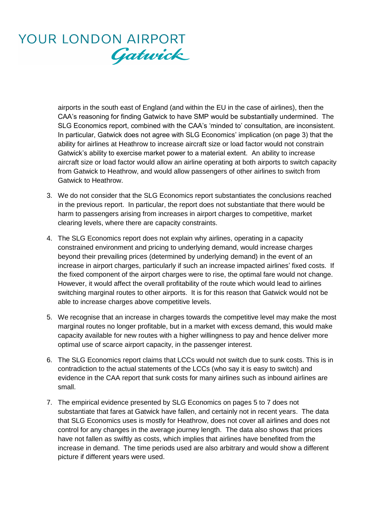## YOUR LONDON AIRPORT Gatwick

airports in the south east of England (and within the EU in the case of airlines), then the CAA's reasoning for finding Gatwick to have SMP would be substantially undermined. The SLG Economics report, combined with the CAA's 'minded to' consultation, are inconsistent. In particular, Gatwick does not agree with SLG Economics' implication (on page 3) that the ability for airlines at Heathrow to increase aircraft size or load factor would not constrain Gatwick's ability to exercise market power to a material extent. An ability to increase aircraft size or load factor would allow an airline operating at both airports to switch capacity from Gatwick to Heathrow, and would allow passengers of other airlines to switch from Gatwick to Heathrow.

- 3. We do not consider that the SLG Economics report substantiates the conclusions reached in the previous report. In particular, the report does not substantiate that there would be harm to passengers arising from increases in airport charges to competitive, market clearing levels, where there are capacity constraints.
- 4. The SLG Economics report does not explain why airlines, operating in a capacity constrained environment and pricing to underlying demand, would increase charges beyond their prevailing prices (determined by underlying demand) in the event of an increase in airport charges, particularly if such an increase impacted airlines' fixed costs. If the fixed component of the airport charges were to rise, the optimal fare would not change. However, it would affect the overall profitability of the route which would lead to airlines switching marginal routes to other airports. It is for this reason that Gatwick would not be able to increase charges above competitive levels.
- 5. We recognise that an increase in charges towards the competitive level may make the most marginal routes no longer profitable, but in a market with excess demand, this would make capacity available for new routes with a higher willingness to pay and hence deliver more optimal use of scarce airport capacity, in the passenger interest.
- 6. The SLG Economics report claims that LCCs would not switch due to sunk costs. This is in contradiction to the actual statements of the LCCs (who say it is easy to switch) and evidence in the CAA report that sunk costs for many airlines such as inbound airlines are small.
- 7. The empirical evidence presented by SLG Economics on pages 5 to 7 does not substantiate that fares at Gatwick have fallen, and certainly not in recent years. The data that SLG Economics uses is mostly for Heathrow, does not cover all airlines and does not control for any changes in the average journey length. The data also shows that prices have not fallen as swiftly as costs, which implies that airlines have benefited from the increase in demand. The time periods used are also arbitrary and would show a different picture if different years were used.